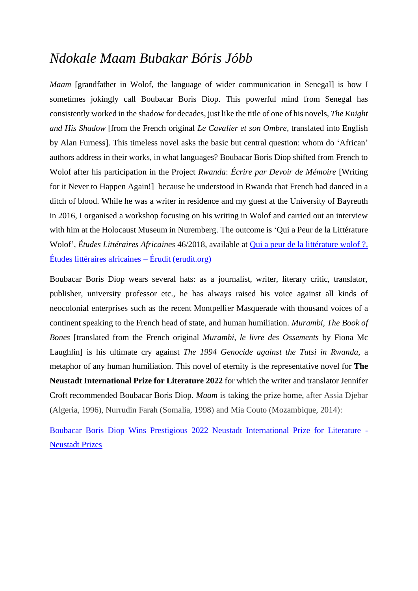## *Ndokale Maam Bubakar Bóris Jóbb*

*Maam* [grandfather in Wolof, the language of wider communication in Senegal] is how I sometimes jokingly call Boubacar Boris Diop. This powerful mind from Senegal has consistently worked in the shadow for decades, just like the title of one of his novels, *The Knight and His Shadow* [from the French original *Le Cavalier et son Ombre,* translated into English by Alan Furness]. This timeless novel asks the basic but central question: whom do 'African' authors address in their works, in what languages? Boubacar Boris Diop shifted from French to Wolof after his participation in the Project *Rwanda*: *Écrire par Devoir de Mémoire* [Writing for it Never to Happen Again!] because he understood in Rwanda that French had danced in a ditch of blood. While he was a writer in residence and my guest at the University of Bayreuth in 2016, I organised a workshop focusing on his writing in Wolof and carried out an interview with him at the Holocaust Museum in Nuremberg. The outcome is 'Qui a Peur de la Littérature Wolof', *Études Littéraires Africaines* 46/2018, available at [Qui a peur de la littérature wolof](https://www.erudit.org/fr/revues/ela/2018-n46-ela04776/) ?. [Études littéraires africaines –](https://www.erudit.org/fr/revues/ela/2018-n46-ela04776/) Érudit (erudit.org)

Boubacar Boris Diop wears several hats: as a journalist, writer, literary critic, translator, publisher, university professor etc., he has always raised his voice against all kinds of neocolonial enterprises such as the recent Montpellier Masquerade with thousand voices of a continent speaking to the French head of state, and human humiliation. *Murambi, The Book of Bones* [translated from the French original *Murambi, le livre des Ossements* by Fiona Mc Laughlin] is his ultimate cry against *The 1994 Genocide against the Tutsi in Rwanda*, a metaphor of any human humiliation. This novel of eternity is the representative novel for **The Neustadt International Prize for Literature 2022** for which the writer and translator Jennifer Croft recommended Boubacar Boris Diop. *Maam* is taking the prize home, after Assia Djebar (Algeria, 1996), Nurrudin Farah (Somalia, 1998) and Mia Couto (Mozambique, 2014):

[Boubacar Boris Diop Wins Prestigious 2022 Neustadt International Prize for Literature -](https://www.neustadtprize.org/boubacar-boris-diop-wins-prestigious-2022-neustadt-international-prize-for-literature/) [Neustadt Prizes](https://www.neustadtprize.org/boubacar-boris-diop-wins-prestigious-2022-neustadt-international-prize-for-literature/)